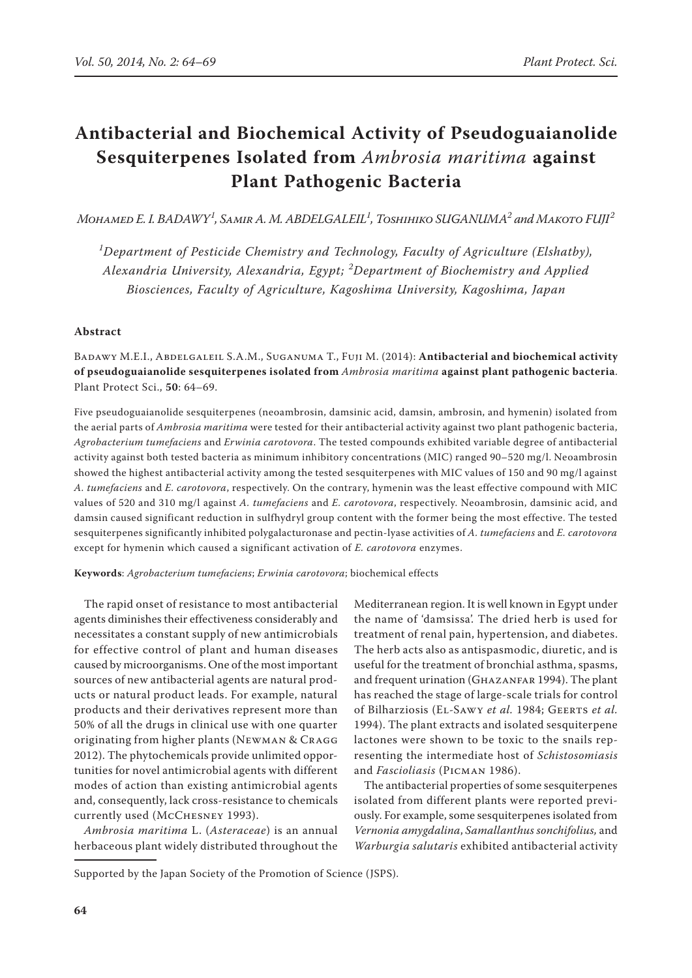# **Antibacterial and Biochemical Activity of Pseudoguaianolide Sesquiterpenes Isolated from** *Ambrosia maritima* **against Plant Pathogenic Bacteria**

 $M$ онамер Е. І. ВАDAWY<sup>1</sup>, Saміr A. M. ABDELGALEIL<sup>1</sup>, Тоѕнініко SUGANUMA $^2$  and Makoto FUJI $^2$ 

*1 Department of Pesticide Chemistry and Technology, Faculty of Agriculture (Elshatby), Alexandria University, Alexandria, Egypt; <sup>2</sup> Department of Biochemistry and Applied Biosciences, Faculty of Agriculture, Kagoshima University, Kagoshima, Japan*

### **Abstract**

Badawy M.E.I., Abdelgaleil S.A.M., Suganuma T., Fuji M. (2014): **Antibacterial and biochemical activity of pseudoguaianolide sesquiterpenes isolated from** *Ambrosia maritima* **against plant pathogenic bacteria**. Plant Protect Sci., **50**: 64–69.

Five pseudoguaianolide sesquiterpenes (neoambrosin, damsinic acid, damsin, ambrosin, and hymenin) isolated from the aerial parts of *Ambrosia maritima* were tested for their antibacterial activity against two plant pathogenic bacteria, *Agrobacterium tumefaciens* and *Erwinia carotovora*. The tested compounds exhibited variable degree of antibacterial activity against both tested bacteria as minimum inhibitory concentrations (MIC) ranged 90–520 mg/l. Neoambrosin showed the highest antibacterial activity among the tested sesquiterpenes with MIC values of 150 and 90 mg/l against *A. tumefaciens* and *E. carotovora*, respectively. On the contrary, hymenin was the least effective compound with MIC values of 520 and 310 mg/l against *A. tumefaciens* and *E. carotovora*, respectively. Neoambrosin, damsinic acid, and damsin caused significant reduction in sulfhydryl group content with the former being the most effective. The tested sesquiterpenes significantly inhibited polygalacturonase and pectin-lyase activities of *A. tumefaciens* and *E. carotovora* except for hymenin which caused a significant activation of *E. carotovora* enzymes.

**Keywords**: *Agrobacterium tumefaciens*; *Erwinia carotovora*; biochemical effects

The rapid onset of resistance to most antibacterial agents diminishes their effectiveness considerably and necessitates a constant supply of new antimicrobials for effective control of plant and human diseases caused by microorganisms. One of the most important sources of new antibacterial agents are natural products or natural product leads. For example, natural products and their derivatives represent more than 50% of all the drugs in clinical use with one quarter originating from higher plants (Newman & Cragg 2012). The phytochemicals provide unlimited opportunities for novel antimicrobial agents with different modes of action than existing antimicrobial agents and, consequently, lack cross-resistance to chemicals currently used (McChesney 1993).

*Ambrosia maritima* L. (*Asteraceae*) is an annual herbaceous plant widely distributed throughout the Mediterranean region. It is well known in Egypt under the name of 'damsissa'. The dried herb is used for treatment of renal pain, hypertension, and diabetes. The herb acts also as antispasmodic, diuretic, and is useful for the treatment of bronchial asthma, spasms, and frequent urination (GHAZANFAR 1994). The plant has reached the stage of large-scale trials for control of Bilharziosis (El-Sawy *et al.* 1984; Geerts *et al.* 1994). The plant extracts and isolated sesquiterpene lactones were shown to be toxic to the snails representing the intermediate host of *Schistosomiasis* and *Fascioliasis* (Picman 1986).

The antibacterial properties of some sesquiterpenes isolated from different plants were reported previously. For example, some sesquiterpenes isolated from *Vernonia amygdalina*, *Samallanthus sonchifolius,* and *Warburgia salutaris* exhibited antibacterial activity

Supported by the Japan Society of the Promotion of Science (JSPS).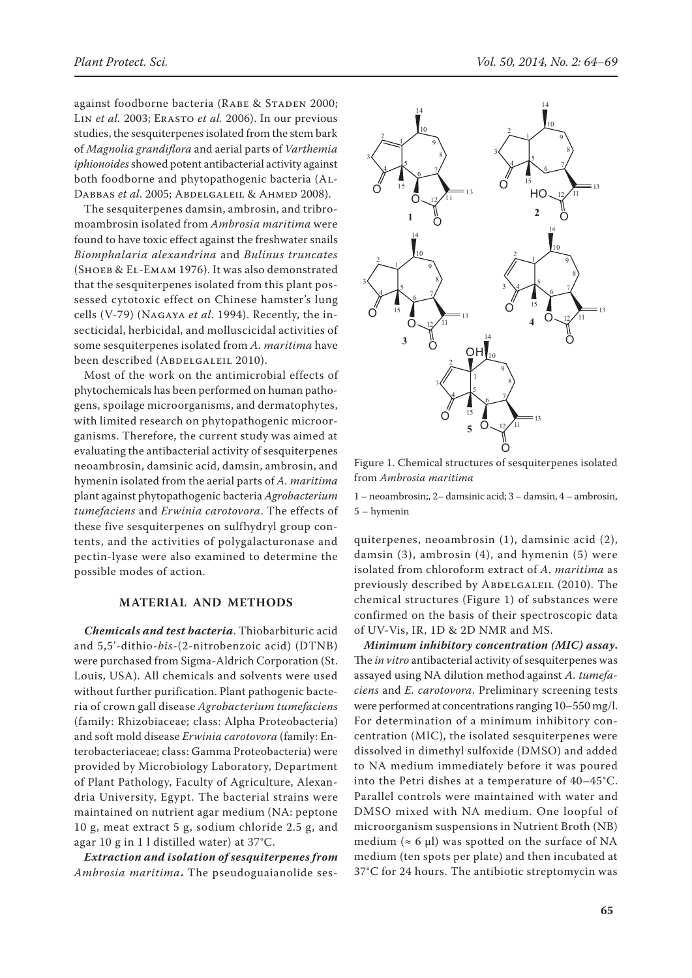against foodborne bacteria (RABE & STADEN 2000; Lin *et al.* 2003; Erasto *et al.* 2006). In our previous studies, the sesquiterpenes isolated from the stem bark of *Magnolia grandiflora* and aerial parts of *Varthemia iphionoides* showed potent antibacterial activity against both foodborne and phytopathogenic bacteria (Al-DABBAS *et al.* 2005; ABDELGALEIL & AHMED 2008).

The sesquiterpenes damsin, ambrosin, and tribromoambrosin isolated from *Ambrosia maritima* were found to have toxic effect against the freshwater snails *Biomphalaria alexandrina* and *Bulinus truncates* (Shoeb & El-Emam 1976). It was also demonstrated that the sesquiterpenes isolated from this plant possessed cytotoxic effect on Chinese hamster's lung cells (V-79) (Nagaya *et al*. 1994). Recently, the insecticidal, herbicidal, and molluscicidal activities of some sesquiterpenes isolated from *A. maritima* have been described (ABDELGALEIL 2010).

Most of the work on the antimicrobial effects of phytochemicals has been performed on human pathogens, spoilage microorganisms, and dermatophytes, with limited research on phytopathogenic microorganisms. Therefore, the current study was aimed at evaluating the antibacterial activity of sesquiterpenes neoambrosin, damsinic acid, damsin, ambrosin, and hymenin isolated from the aerial parts of *A. maritima* plant against phytopathogenic bacteria *Agrobacterium tumefaciens* and *Erwinia carotovora*. The effects of these five sesquiterpenes on sulfhydryl group contents, and the activities of polygalacturonase and pectin-lyase were also examined to determine the possible modes of action.

# **MATERIAL AND METHODS**

*Chemicals and test bacteria*. Thiobarbituric acid and 5,5'-dithio-*bis*-(2-nitrobenzoic acid) (DTNB) were purchased from Sigma-Aldrich Corporation (St. Louis, USA). All chemicals and solvents were used without further purification. Plant pathogenic bacteria of crown gall disease *Agrobacterium tumefaciens* (family: Rhizobiaceae; class: Alpha Proteobacteria) and soft mold disease *Erwinia carotovora* (family: Enterobacteriaceae; class: Gamma Proteobacteria) were provided by Microbiology Laboratory, Department of Plant Pathology, Faculty of Agriculture, Alexandria University, Egypt. The bacterial strains were maintained on nutrient agar medium (NA: peptone 10 g, meat extract 5 g, sodium chloride 2.5 g, and agar 10 g in 1 l distilled water) at 37°C.

*Extraction and isolation of sesquiterpenes from Ambrosia maritima***.** The pseudoguaianolide ses-



Figure 1. Chemical structures of sesquiterpenes isolated from *Ambrosia maritima* 

1 – neoambrosin;, 2– damsinic acid; 3 – damsin, 4 – ambrosin, 5 – hymenin

quiterpenes, neoambrosin (1), damsinic acid (2), damsin (3), ambrosin (4), and hymenin (5) were isolated from chloroform extract of *A. maritima* as previously described by ABDELGALEIL (2010). The chemical structures (Figure 1) of substances were confirmed on the basis of their spectroscopic data of UV-Vis, IR, 1D & 2D NMR and MS.

*Minimum inhibitory concentration (MIC) assay***.**  The *in vitro* antibacterial activity of sesquiterpenes was assayed using NA dilution method against *A. tumefaciens* and *E. carotovora*. Preliminary screening tests were performed at concentrations ranging 10–550 mg/l. For determination of a minimum inhibitory concentration (MIC), the isolated sesquiterpenes were dissolved in dimethyl sulfoxide (DMSO) and added to NA medium immediately before it was poured into the Petri dishes at a temperature of 40–45°C. Parallel controls were maintained with water and DMSO mixed with NA medium. One loopful of microorganism suspensions in Nutrient Broth (NB) medium ( $\approx$  6 µl) was spotted on the surface of NA medium (ten spots per plate) and then incubated at 37°C for 24 hours. The antibiotic streptomycin was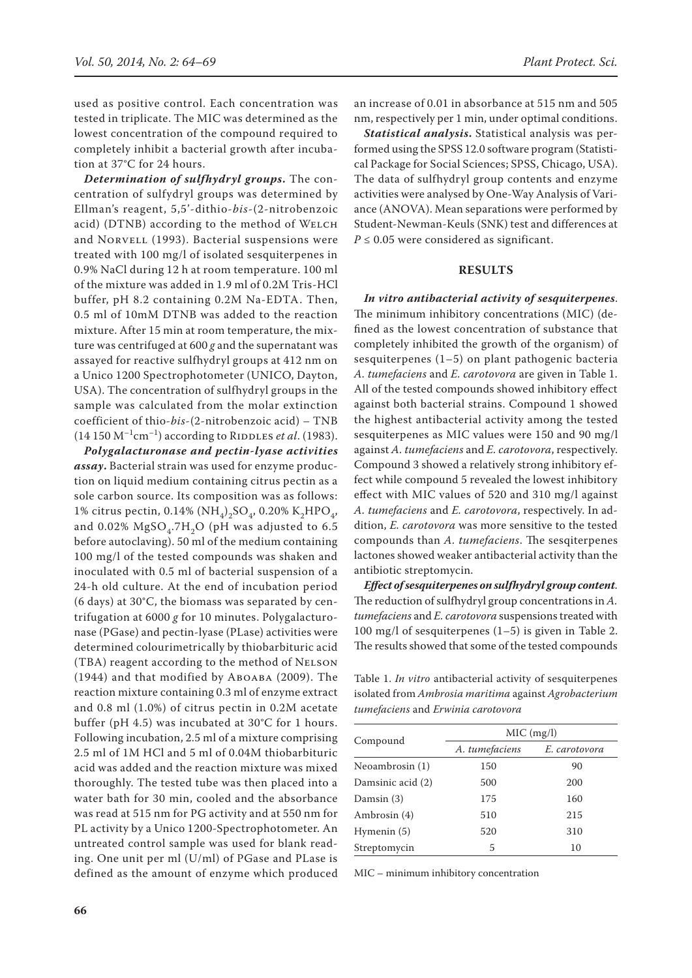used as positive control. Each concentration was tested in triplicate. The MIC was determined as the lowest concentration of the compound required to completely inhibit a bacterial growth after incubation at 37°C for 24 hours.

*Determination of sulfhydryl groups***.** The concentration of sulfydryl groups was determined by Ellman's reagent, 5,5'-dithio-*bis*-(2-nitrobenzoic acid) (DTNB) according to the method of WELCH and NORVELL (1993). Bacterial suspensions were treated with 100 mg/l of isolated sesquiterpenes in 0.9% NaCl during 12 h at room temperature. 100 ml of the mixture was added in 1.9 ml of 0.2M Tris-HCl buffer, pH 8.2 containing 0.2M Na-EDTA. Then, 0.5 ml of 10mM DTNB was added to the reaction mixture. After 15 min at room temperature, the mixture was centrifuged at 600 *g* and the supernatant was assayed for reactive sulfhydryl groups at 412 nm on a Unico 1200 Spectrophotometer (UNICO, Dayton, USA). The concentration of sulfhydryl groups in the sample was calculated from the molar extinction coefficient of thio-*bis*-(2-nitrobenzoic acid) – TNB  $(14\ 150\ M^{-1}cm^{-1})$  according to RIDDLES *et al.* (1983).

*Polygalacturonase and pectin-lyase activities assay***.** Bacterial strain was used for enzyme production on liquid medium containing citrus pectin as a sole carbon source. Its composition was as follows: 1% citrus pectin, 0.14% (NH<sub>4</sub>)<sub>2</sub>SO<sub>4</sub>, 0.20% K<sub>2</sub>HPO<sub>4</sub>, and  $0.02\%$  MgSO<sub>4</sub>.7H<sub>2</sub>O (pH was adjusted to 6.5 before autoclaving). 50 ml of the medium containing 100 mg/l of the tested compounds was shaken and inoculated with 0.5 ml of bacterial suspension of a 24-h old culture. At the end of incubation period (6 days) at 30°C, the biomass was separated by centrifugation at 6000 *g* for 10 minutes. Polygalacturonase (PGase) and pectin-lyase (PLase) activities were determined colourimetrically by thiobarbituric acid (TBA) reagent according to the method of Nelson (1944) and that modified by Aboaba (2009). The reaction mixture containing 0.3 ml of enzyme extract and 0.8 ml (1.0%) of citrus pectin in 0.2M acetate buffer (pH 4.5) was incubated at 30°C for 1 hours. Following incubation, 2.5 ml of a mixture comprising 2.5 ml of 1M HCl and 5 ml of 0.04M thiobarbituric acid was added and the reaction mixture was mixed thoroughly. The tested tube was then placed into a water bath for 30 min, cooled and the absorbance was read at 515 nm for PG activity and at 550 nm for PL activity by a Unico 1200-Spectrophotometer. An untreated control sample was used for blank reading. One unit per ml (U/ml) of PGase and PLase is defined as the amount of enzyme which produced an increase of 0.01 in absorbance at 515 nm and 505 nm, respectively per 1 min, under optimal conditions.

*Statistical analysis***.** Statistical analysis was performed using the SPSS 12.0 software program (Statistical Package for Social Sciences; SPSS, Chicago, USA). The data of sulfhydryl group contents and enzyme activities were analysed by One-Way Analysis of Variance (ANOVA). Mean separations were performed by Student-Newman-Keuls (SNK) test and differences at  $P \leq 0.05$  were considered as significant.

#### **RESULTS**

*In vitro antibacterial activity of sesquiterpenes*. The minimum inhibitory concentrations (MIC) (defined as the lowest concentration of substance that completely inhibited the growth of the organism) of sesquiterpenes (1–5) on plant pathogenic bacteria *A. tumefaciens* and *E. carotovora* are given in Table 1. All of the tested compounds showed inhibitory effect against both bacterial strains. Compound 1 showed the highest antibacterial activity among the tested sesquiterpenes as MIC values were 150 and 90 mg/l against *A. tumefaciens* and *E. carotovora*, respectively. Compound 3 showed a relatively strong inhibitory effect while compound 5 revealed the lowest inhibitory effect with MIC values of 520 and 310 mg/l against *A. tumefaciens* and *E. carotovora*, respectively. In addition, *E. carotovora* was more sensitive to the tested compounds than *A. tumefaciens*. The sesqiterpenes lactones showed weaker antibacterial activity than the antibiotic streptomycin.

*Effect of sesquiterpenes on sulfhydryl group content*. The reduction of sulfhydryl group concentrations in *A. tumefaciens* and *E. carotovora* suspensions treated with 100 mg/l of sesquiterpenes (1–5) is given in Table 2. The results showed that some of the tested compounds

Table 1. *In vitro* antibacterial activity of sesquiterpenes isolated from *Ambrosia maritima* against *Agrobacterium tumefaciens* and *Erwinia carotovora*

|                   | MIC (mg/l)     |               |  |
|-------------------|----------------|---------------|--|
| Compound          | A. tumefaciens | E. carotovora |  |
| Neoambrosin (1)   | 150            | 90            |  |
| Damsinic acid (2) | 500            | 200           |  |
| Damsin (3)        | 175            | 160           |  |
| Ambrosin (4)      | 510            | 215           |  |
| Hymenin (5)       | 520            | 310           |  |
| Streptomycin      | 5              | 10            |  |

MIC – minimum inhibitory concentration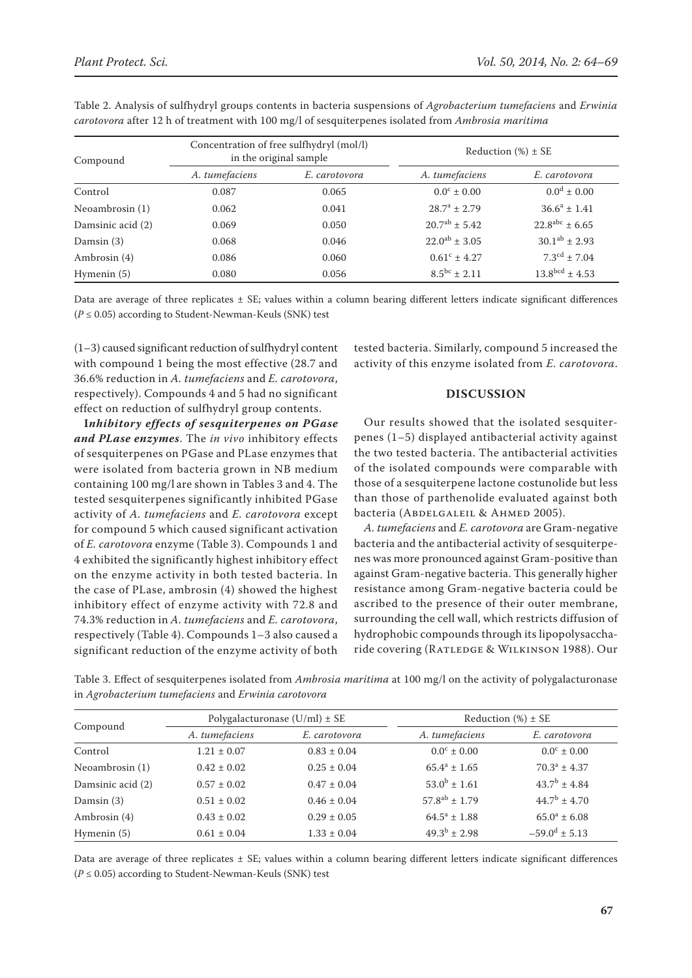| Compound          | Concentration of free sulfhydryl (mol/l)<br>in the original sample |               | Reduction $(\%) \pm SE$ |                            |
|-------------------|--------------------------------------------------------------------|---------------|-------------------------|----------------------------|
|                   | A. tumefaciens                                                     | E. carotovora | A. tumefaciens          | E. carotovora              |
| Control           | 0.087                                                              | 0.065         | $0.0^{\circ} \pm 0.00$  | $0.0^d \pm 0.00$           |
| Neoambrosin $(1)$ | 0.062                                                              | 0.041         | $28.7^a \pm 2.79$       | $36.6^a \pm 1.41$          |
| Damsinic acid (2) | 0.069                                                              | 0.050         | $20.7^{ab} \pm 5.42$    | $22.8^{abc} \pm 6.65$      |
| Damsin (3)        | 0.068                                                              | 0.046         | $22.0^{ab} \pm 3.05$    | $30.1^{ab} \pm 2.93$       |
| Ambrosin (4)      | 0.086                                                              | 0.060         | $0.61^{\circ} \pm 4.27$ | $7.3^{\text{cd}} \pm 7.04$ |
| Hymenin (5)       | 0.080                                                              | 0.056         | $8.5^{bc} \pm 2.11$     | $13.8^{bcd} \pm 4.53$      |

Table 2. Analysis of sulfhydryl groups contents in bacteria suspensions of *Agrobacterium tumefaciens* and *Erwinia carotovora* after 12 h of treatment with 100 mg/l of sesquiterpenes isolated from *Ambrosia maritima*

Data are average of three replicates  $\pm$  SE; values within a column bearing different letters indicate significant differences  $(P \le 0.05)$  according to Student-Newman-Keuls (SNK) test

(1–3) caused significant reduction of sulfhydryl content with compound 1 being the most effective (28.7 and 36.6% reduction in *A. tumefaciens* and *E. carotovora*, respectively). Compounds 4 and 5 had no significant effect on reduction of sulfhydryl group contents.

**I***nhibitory effects of sesquiterpenes on PGase and PLase enzymes*. The *in vivo* inhibitory effects of sesquiterpenes on PGase and PLase enzymes that were isolated from bacteria grown in NB medium containing 100 mg/l are shown in Tables 3 and 4. The tested sesquiterpenes significantly inhibited PGase activity of *A. tumefaciens* and *E. carotovora* except for compound 5 which caused significant activation of *E. carotovora* enzyme (Table 3). Compounds 1 and 4 exhibited the significantly highest inhibitory effect on the enzyme activity in both tested bacteria. In the case of PLase, ambrosin (4) showed the highest inhibitory effect of enzyme activity with 72.8 and 74.3% reduction in *A. tumefaciens* and *E. carotovora*, respectively (Table 4). Compounds 1–3 also caused a significant reduction of the enzyme activity of both

tested bacteria. Similarly, compound 5 increased the activity of this enzyme isolated from *E. carotovora*.

# **DISCUSSION**

Our results showed that the isolated sesquiterpenes (1–5) displayed antibacterial activity against the two tested bacteria. The antibacterial activities of the isolated compounds were comparable with those of a sesquiterpene lactone costunolide but less than those of parthenolide evaluated against both bacteria (ABDELGALEIL & AHMED 2005).

*A. tumefaciens* and *E. carotovora* are Gram-negative bacteria and the antibacterial activity of sesquiterpenes was more pronounced against Gram-positive than against Gram-negative bacteria. This generally higher resistance among Gram-negative bacteria could be ascribed to the presence of their outer membrane, surrounding the cell wall, which restricts diffusion of hydrophobic compounds through its lipopolysaccharide covering (RATLEDGE & WILKINSON 1988). Our

Table 3. Effect of sesquiterpenes isolated from *Ambrosia maritima* at 100 mg/l on the activity of polygalacturonase in *Agrobacterium tumefaciens* and *Erwinia carotovora*

| Compound          | Polygalacturonase $(U/ml) \pm SE$ |                 | Reduction $(\%) \pm SE$ |                                 |
|-------------------|-----------------------------------|-----------------|-------------------------|---------------------------------|
|                   | A. tumefaciens                    | E. carotovora   | A. tumefaciens          | E. carotovora                   |
| Control           | $1.21 \pm 0.07$                   | $0.83 \pm 0.04$ | $0.0^{\circ} \pm 0.00$  | $0.0^{\circ} \pm 0.00$          |
| Neoambrosin (1)   | $0.42 \pm 0.02$                   | $0.25 \pm 0.04$ | $65.4^a \pm 1.65$       | $70.3^a \pm 4.37$               |
| Damsinic acid (2) | $0.57 \pm 0.02$                   | $0.47 \pm 0.04$ | $53.0^b \pm 1.61$       | $43.7^b + 4.84$                 |
| Damsin $(3)$      | $0.51 \pm 0.02$                   | $0.46 \pm 0.04$ | $57.8^{ab} \pm 1.79$    | $44.7^{\rm b} \pm 4.70^{\rm c}$ |
| Ambrosin (4)      | $0.43 \pm 0.02$                   | $0.29 \pm 0.05$ | $64.5^a \pm 1.88$       | $65.0^a \pm 6.08$               |
| Hymenin $(5)$     | $0.61 \pm 0.04$                   | $1.33 \pm 0.04$ | $49.3^b \pm 2.98$       | $-59.0^d \pm 5.13$              |

Data are average of three replicates ± SE; values within a column bearing different letters indicate significant differences  $(P \le 0.05)$  according to Student-Newman-Keuls (SNK) test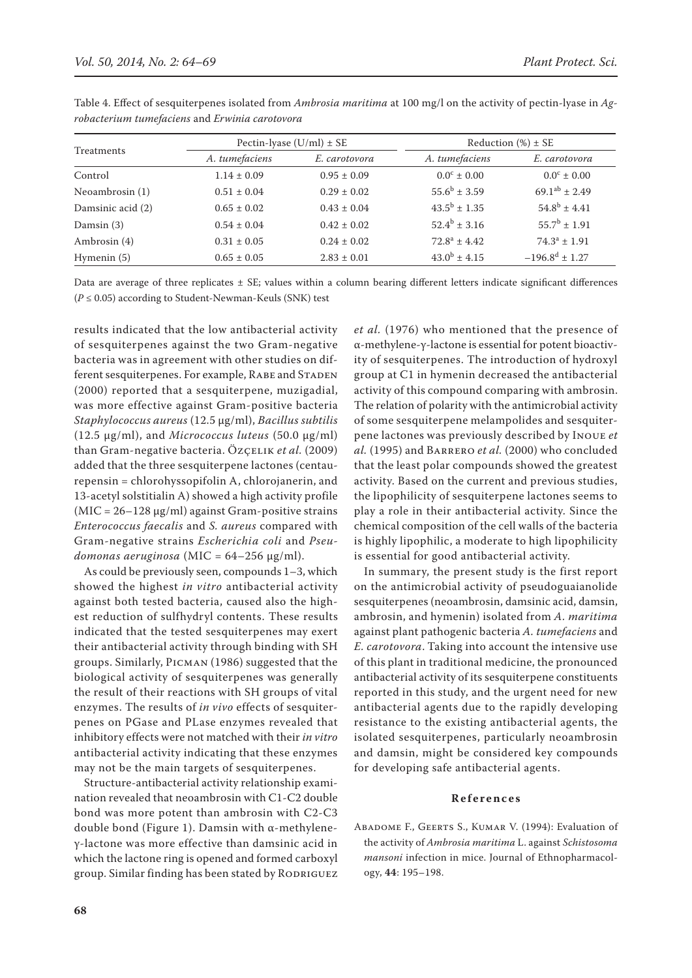| Treatments        | Pectin-lyase $(U/ml) \pm SE$ |                 | Reduction $(\%) \pm SE$ |                        |
|-------------------|------------------------------|-----------------|-------------------------|------------------------|
|                   | A. tumefaciens               | E. carotovora   | A. tumefaciens          | E. carotovora          |
| Control           | $1.14 \pm 0.09$              | $0.95 \pm 0.09$ | $0.0^{\circ} \pm 0.00$  | $0.0^{\circ} \pm 0.00$ |
| Neoambrosin (1)   | $0.51 \pm 0.04$              | $0.29 \pm 0.02$ | $55.6^b \pm 3.59$       | $69.1^{ab} \pm 2.49$   |
| Damsinic acid (2) | $0.65 \pm 0.02$              | $0.43 \pm 0.04$ | $43.5^{\rm b}$ + 1.35   | $54.8^b \pm 4.41$      |
| Damsin $(3)$      | $0.54 \pm 0.04$              | $0.42 \pm 0.02$ | $52.4^b \pm 3.16$       | $55.7^b \pm 1.91$      |
| Ambrosin (4)      | $0.31 \pm 0.05$              | $0.24 \pm 0.02$ | $72.8^a \pm 4.42$       | $74.3^a \pm 1.91$      |
| Hymenin (5)       | $0.65 \pm 0.05$              | $2.83 \pm 0.01$ | $43.0^b \pm 4.15$       | $-196.8^d \pm 1.27$    |

Table 4. Effect of sesquiterpenes isolated from *Ambrosia maritima* at 100 mg/l on the activity of pectin-lyase in *Agrobacterium tumefaciens* and *Erwinia carotovora*

Data are average of three replicates ± SE; values within a column bearing different letters indicate significant differences (*P* ≤ 0.05) according to Student-Newman-Keuls (SNK) test

results indicated that the low antibacterial activity of sesquiterpenes against the two Gram-negative bacteria was in agreement with other studies on different sesquiterpenes. For example, RABE and STADEN (2000) reported that a sesquiterpene, muzigadial, was more effective against Gram-positive bacteria *Staphylococcus aureus* (12.5 μg/ml), *Bacillus subtilis*  (12.5 μg/ml), and *Micrococcus luteus* (50.0 μg/ml) than Gram-negative bacteria. Özçelik *et al.* (2009) added that the three sesquiterpene lactones (centaurepensin = chlorohyssopifolin A, chlorojanerin, and 13-acetyl solstitialin A) showed a high activity profile  $(MIC = 26 - 128 \mu g/ml)$  against Gram-positive strains *Enterococcus faecalis* and *S. aureus* compared with Gram-negative strains *Escherichia coli* and *Pseudomonas aeruginosa* (MIC = 64–256 μg/ml).

As could be previously seen, compounds 1–3, which showed the highest *in vitro* antibacterial activity against both tested bacteria, caused also the highest reduction of sulfhydryl contents. These results indicated that the tested sesquiterpenes may exert their antibacterial activity through binding with SH groups. Similarly, Picman (1986) suggested that the biological activity of sesquiterpenes was generally the result of their reactions with SH groups of vital enzymes. The results of *in vivo* effects of sesquiterpenes on PGase and PLase enzymes revealed that inhibitory effects were not matched with their *in vitro* antibacterial activity indicating that these enzymes may not be the main targets of sesquiterpenes.

Structure-antibacterial activity relationship examination revealed that neoambrosin with C1-C2 double bond was more potent than ambrosin with C2-C3 double bond (Figure 1). Damsin with α-methyleneγ-lactone was more effective than damsinic acid in which the lactone ring is opened and formed carboxyl group. Similar finding has been stated by RODRIGUEZ *et al.* (1976) who mentioned that the presence of α-methylene-γ-lactone is essential for potent bioactivity of sesquiterpenes. The introduction of hydroxyl group at C1 in hymenin decreased the antibacterial activity of this compound comparing with ambrosin. The relation of polarity with the antimicrobial activity of some sesquiterpene melampolides and sesquiterpene lactones was previously described by Inoue *et al.* (1995) and Barrero *et al.* (2000) who concluded that the least polar compounds showed the greatest activity. Based on the current and previous studies, the lipophilicity of sesquiterpene lactones seems to play a role in their antibacterial activity. Since the chemical composition of the cell walls of the bacteria is highly lipophilic, a moderate to high lipophilicity is essential for good antibacterial activity.

In summary, the present study is the first report on the antimicrobial activity of pseudoguaianolide sesquiterpenes (neoambrosin, damsinic acid, damsin, ambrosin, and hymenin) isolated from *A. maritima* against plant pathogenic bacteria *A. tumefaciens* and *E. carotovora*. Taking into account the intensive use of this plant in traditional medicine, the pronounced antibacterial activity of its sesquiterpene constituents reported in this study, and the urgent need for new antibacterial agents due to the rapidly developing resistance to the existing antibacterial agents, the isolated sesquiterpenes, particularly neoambrosin and damsin, might be considered key compounds for developing safe antibacterial agents.

## **References**

ABADOME F., GEERTS S., KUMAR V. (1994): Evaluation of the activity of *Ambrosia maritima* L. against *Schistosoma mansoni* infection in mice. Journal of Ethnopharmacology, **44**: 195–198.